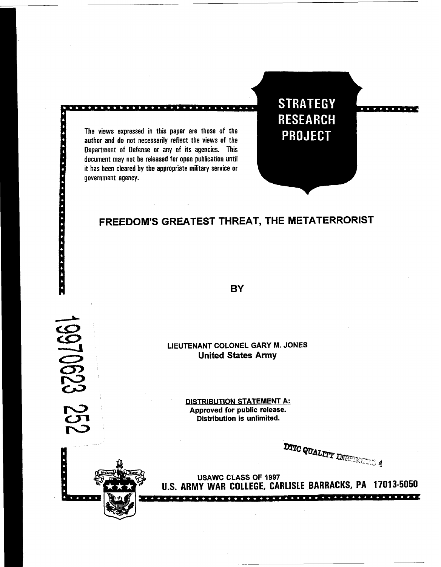The views expressed in this paper are those of the author and do not necessarily reflect the views of the Department of Defense or any of its agencies. This document may not be released for open publication until it has been cleared by the appropriate military service or government agency.

**. . . . . . . . .** 

19970623 2

225<br>22

**STRATEGY RESEARCH PROJECT** 

# **FREEDOM'S GREATEST THREAT, THE METATERRORIST**

**BY** 

**LIEUTENANT COLONEL GARY M. JONES United States Army** 

> **DISTRIBUTION STATEMENT A: Approved for public release. Distribution is unlimited.**

**DTIC QUALITY INGFESSION 4** 



**USAWC CLASS OF 1997 U.S. ARMY WAR COLLEGE, CARLISLE BARRACKS, PA 17013-5050**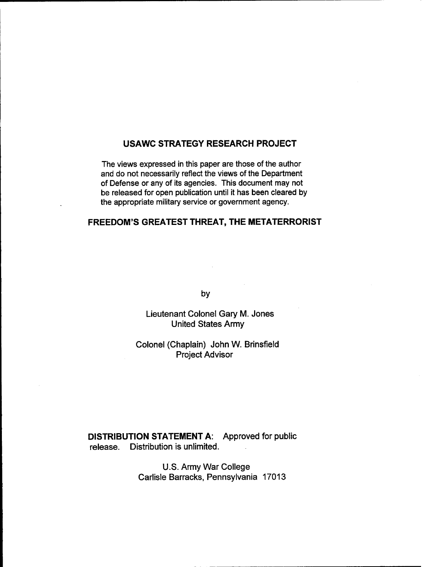## **USAWC STRATEGY RESEARCH PROJECT**

The views expressed in this paper are those of the author and do not necessarily reflect the views of the Department of Defense or any of its agencies. This document may not be released for open publication until it has been cleared by the appropriate military service or government agency.

## **FREEDOM'S GREATEST THREAT, THE METATERRORIST**

by

Lieutenant Colonel **Gary** M. Jones United States Army

Colonel (Chaplain) John W. Brinsfield Project Advisor

**DISTRIBUTION STATEMENT A:** Approved for public release. Distribution is unlimited.

> U.S. Army War College Carlisle Barracks, Pennsylvania 17013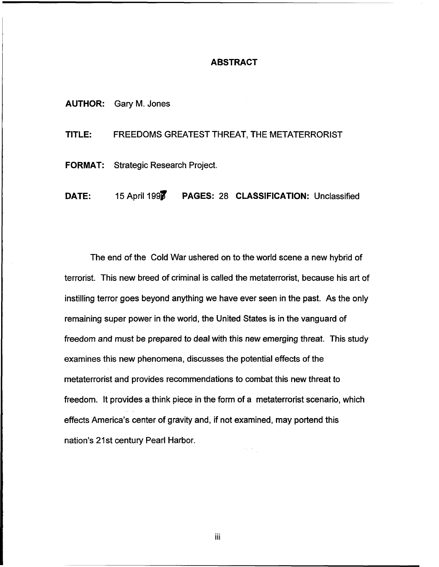## **ABSTRACT**

**AUTHOR:** Gary **M.** Jones

**TITLE:** FREEDOMS GREATEST THREAT, THE METATERRORIST

**FORMAT:** Strategic Research Project.

**DATE:** 15 April 1997 **PAGES: 28 CLASSIFICATION:** Unclassified

The end of the Cold War ushered on to the world scene a new hybrid of terrorist. This new breed of criminal is called the metaterrorist, because his art of instilling terror goes beyond anything we have ever seen in the past. As the only remaining super power in the world, the United States is in the vanguard of freedom and must be prepared to deal with this new emerging threat. This study examines this new phenomena, discusses the potential effects of the metaterrorist and provides recommendations to combat this new threat to freedom. It provides a think piece in the form of a metaterrorist scenario, which effects America's center of gravity and, if not examined, may portend this nation's 21st century Pearl Harbor.

iii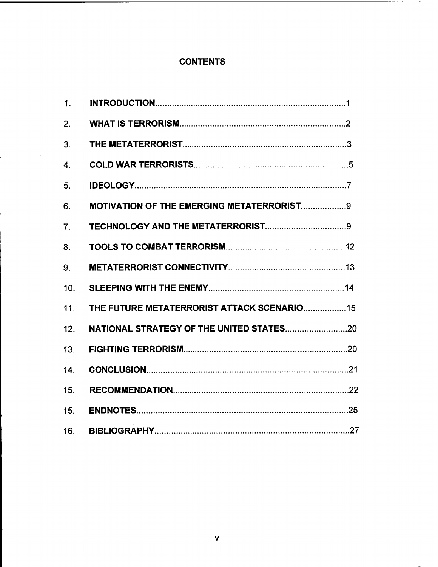## **CONTENTS**

 $\bar{\gamma}$ 

| 1.               |                                                  |
|------------------|--------------------------------------------------|
| 2.               |                                                  |
| 3.               |                                                  |
| $\overline{4}$ . |                                                  |
| 5.               |                                                  |
| 6.               | <b>MOTIVATION OF THE EMERGING METATERRORIST9</b> |
| 7.               |                                                  |
| 8.               |                                                  |
| 9.               |                                                  |
| 10.              |                                                  |
| 11.              | THE FUTURE METATERRORIST ATTACK SCENARIO15       |
| 12.              |                                                  |
| 13 <sub>1</sub>  |                                                  |
| 14.              |                                                  |
| 15.              |                                                  |
| 15.              |                                                  |
| 16.              |                                                  |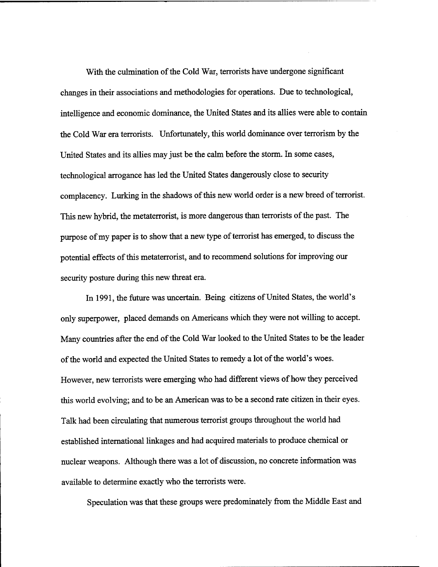With the culmination of the Cold War, terrorists have undergone significant changes in their associations and methodologies for operations. Due to technological, intelligence and economic dominance, the United States and its allies were able to contain the Cold War era terrorists. Unfortunately, this world dominance over terrorism by the United States and its allies may just be the calm before the storm. In some cases, technological arrogance has led the United States dangerously close to security complacency. Lurking in the shadows of this new world order is a new breed of terrorist. This new hybrid, the metaterrorist, is more dangerous than terrorists of the past. The purpose of my paper is to show that a new type of terrorist has emerged, to discuss the potential effects of this metaterrorist, and to recommend solutions for improving our security posture during this new threat era.

In 1991, the future was uncertain. Being citizens of United States, the world's only superpower, placed demands on Americans which they were not willing to accept. Many countries after the end of the Cold War looked to the United States to be the leader of the world and expected the United States to remedy a lot of the world's woes. However, new terrorists were emerging who had different views of how they perceived this world evolving; and to be an American was to be a second rate citizen in their eyes. Talk had been circulating that numerous terrorist groups throughout the world had established international linkages and had acquired materials to produce chemical or nuclear weapons. Although there was a lot of discussion, no concrete information was available to determine exactly who the terrorists were.

Speculation was that these groups were predominately from the Middle East and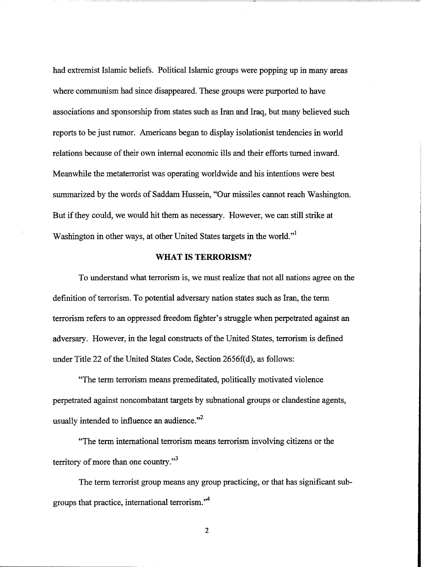had extremist Islamic beliefs. Political Islamic groups were popping up in many areas where communism had since disappeared. These groups were purported to have associations and sponsorship from states such as Iran and Iraq, but many believed such reports to be just rumor. Americans began to display isolationist tendencies in world relations because of their own internal economic ills and their efforts turned inward. Meanwhile the metaterrorist was operating worldwide and his intentions were best summarized by the words of Saddam Hussein, "Our missiles cannot reach Washington. But if they could, we would hit them as necessary. However, we can still strike at Washington in other ways, at other United States targets in the world."

## **WHAT IS TERRORISM?**

To understand what terrorism is, we must realize that not all nations agree on the definition of terrorism. To potential adversary nation states such as Iran, the term terrorism refers to an oppressed freedom fighter's struggle when perpetrated against an adversary. However, in the legal constructs of the United States, terrorism is defined under Title 22 of the United States Code, Section 2656f(d), as follows:

"The term terrorism means premeditated, politically motivated violence perpetrated against noncombatant targets by subnational groups or clandestine agents, usually intended to influence an audience. $"^{2}$ 

"The term international terrorism means terrorism involving citizens or the territory of more than one country. $^{3}$ 

The term terrorist group means any group practicing, or that has significant subgroups that practice, international terrorism.''

 $\overline{2}$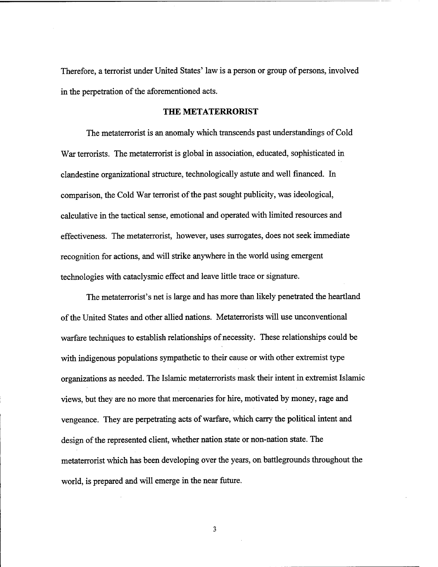Therefore, a terrorist under United States' law is a person or group of persons, involved in the perpetration of the aforementioned acts.

#### **THE METATERRORIST**

The metaterrorist is an anomaly which transcends past understandings of Cold War terrorists. The metaterrorist is global in association, educated, sophisticated in clandestine organizational structure, technologically astute and well financed. In comparison, the Cold War terrorist of the past sought publicity, was ideological, calculative in the tactical sense, emotional and operated with limited resources and effectiveness. The metaterrorist, however, uses surrogates, does not seek immediate recognition for actions, and will strike anywhere in the world using emergent technologies with cataclysmic effect and leave little trace or signature.

The metaterrorist's net is large and has more than likely penetrated the heartland of the United States and other allied nations. Metaterrorists will use unconventional warfare techniques to establish relationships of necessity. These relationships could be with indigenous populations sympathetic to their cause or with other extremist type organizations as needed. The Islamic metaterrorists mask their intent in extremist Islamic views, but they are no more that mercenaries for hire, motivated by money, rage and vengeance. They are perpetrating acts of warfare, which carry the political intent and design of the represented client, whether nation state or non-nation state. The metaterrorist which has been developing over the years, on battlegrounds throughout the world, is prepared and will emerge in the near future.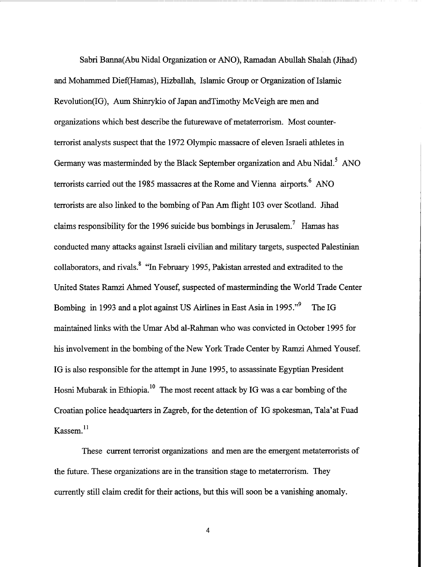Sabri Banna(Abu Nidal Organization or ANO), Ramadan Abullah Shalah (Jihad) and Mohammed Dief(Hamas), Hizballah, Islamic Group or Organization of Islamic Revolution(IG), Aum Shinrykio of Japan andTimothy McVeigh are men and organizations which best describe the futurewave of metaterrorism. Most counterterrorist analysts suspect that the 1972 Olympic massacre of eleven Israeli athletes in Germany was masterminded by the Black September organization and Abu Nidal.<sup>5</sup> ANO terrorists carried out the 1985 massacres at the Rome and Vienna airports.<sup>6</sup> ANO terrorists are also linked to the bombing of Pan Am flight 103 over Scotland. Jihad claims responsibility for the 1996 suicide bus bombings in Jerusalem.<sup>7</sup> Hamas has conducted many attacks against Israeli civilian and military targets, suspected Palestinian collaborators, and rivals.<sup>8</sup> "In February 1995, Pakistan arrested and extradited to the United States Ramzi Ahmed Yousef, suspected of masterminding the World Trade Center Bombing in 1993 and a plot against US Airlines in East Asia in 1995."' The IG maintained links with the Umar Abd al-Rahrnan who was convicted in October 1995 for his involvement in the bombing of the New York Trade Center by Ramzi Ahmed Yousef. IG is also responsible for the attempt in June 1995, to assassinate Egyptian President Hosni Mubarak in Ethiopia.<sup>10</sup> The most recent attack by IG was a car bombing of the Croatian police headquarters in Zagreb, for the detention of IG spokesman, Tala'at Fuad Kassem.<sup>11</sup>

These current terrorist organizations and men are the emergent metaterrorists of the future. These organizations are in the transition stage to metaterrorism. They currently still claim credit for their actions, but this will soon be a vanishing anomaly.

 $\overline{4}$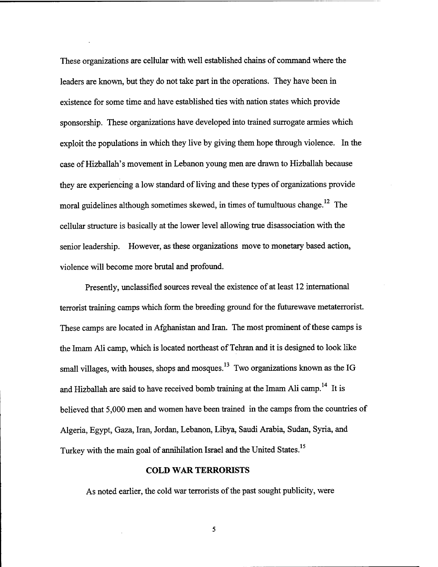These organizations are cellular with well established chains of command where the leaders are known, but they do not take part in the operations. They have been in existence for some time and have established ties with nation states which provide sponsorship. These organizations have developed into trained surrogate armies which exploit the populations in which they live by giving them hope through violence. In the case of Hizballah's movement in Lebanon young men are drawn to Hizballah because they are experiencing a low standard of living and these types of organizations provide moral guidelines although sometimes skewed, in times of tumultuous change.<sup>12</sup> The cellular structure is basically at the lower level allowing true disassociation with the senior leadership. However, as these organizations move to monetary based action, violence will become more brutal and profound.

Presently, unclassified sources reveal the existence of at least 12 international terrorist training camps which form the breeding ground for the futurewave metaterrorist. These camps are located in Afghanistan and Iran. The most prominent of these camps is the Imam Ali camp, which is located northeast of Tehran and it is designed to look like small villages, with houses, shops and mosques.<sup>13</sup> Two organizations known as the IG and Hizballah are said to have received bomb training at the Imam Ali camp.<sup>14</sup> It is believed that 5,000 men and women have been trained in the camps fiom the countries of Algeria, Egypt, Gaza, Iran, Jordan, Lebanon, Libya, Saudi Arabia, Sudan, Syria, and Turkey with the main goal of annihilation Israel and the United States.<sup>15</sup>

#### **COLD WAR TERRORISTS**

As noted earlier, the cold war terrorists of the past sought publicity, were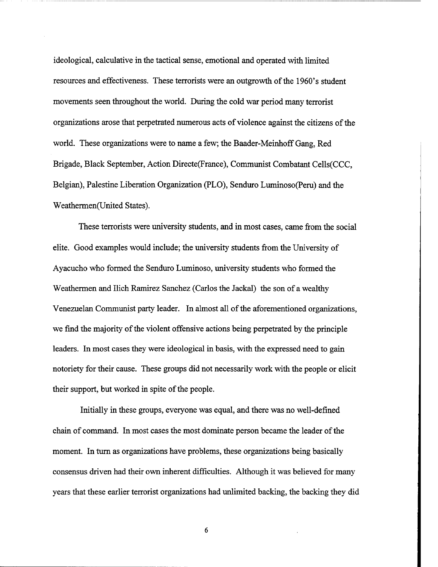ideological, calculative in the tactical sense, emotional and operated with limited resources and effectiveness. These terrorists were an outgrowth of the 1960's student movements seen throughout the world. During the cold war period many terrorist organizations arose that perpetrated numerous acts of violence against the citizens of the world. These organizations were to name a few; the Baader-Meinhoff Gang, Red Brigade, Black September, Action Directe(France), Communist Combatant Cells(CCC, Belgian), Palestine Liberation Organization (PLO), Senduro Luminoso(Peru) and the Weathermen(United States).

These terrorists were university students, and in most cases, came fiom the social elite. Good examples would include; the university students fiom the University of Ayacucho who formed the Senduro Luminoso, university students who formed the Weathermen and Ilich Ramirez Sanchez (Carlos the Jackal) the son of a wealthy Venezuelan Communist party leader. In almost all of the aforementioned organizations, we find the majority of the violent offensive actions being perpetrated by the principle leaders. In most cases they were ideological in basis, with the expressed need to gain notoriety for their cause. These groups did not necessarily work with the people or elicit their support, but worked in spite of the people.

Initially in these groups, everyone was equal, and there was no well-defined chain of command. In most cases the most dominate person became the leader of the moment. In turn as organizations have problems, these organizations being basically consensus driven had their own inherent difficulties. Although it was believed for many years that these earlier terrorist organizations had unlimited backing, the backing they did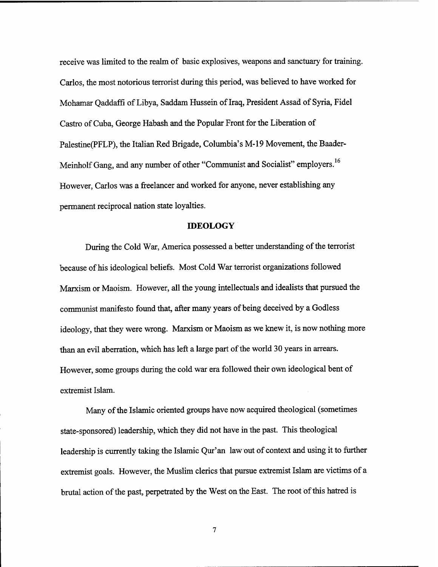receive was limited to the realm of basic explosives, weapons and sanctuary for training. Carlos, the most notorious terrorist during this period, was believed to have worked for Mohamar Qaddaffi of Libya, Saddam Hussein of Iraq, President Assad of Syria, Fidel Castro of Cuba, George Habash and the Popular Front for the Liberation of Palestine(PFLP), the Italian Red Brigade, Columbia's M-19 Movement, the Baader-Meinholf Gang, and any number of other "Communist and Socialist" employers.<sup>16</sup> However, Carlos was a fieelancer and worked for anyone, never establishing any permanent reciprocal nation state loyalties.

#### **IDEOLOGY**

During the Cold War, America possessed a better understanding of the terrorist because of his ideological beliefs. Most Cold War terrorist organizations followed Marxism or Maoism. However, all the young intellectuals and idealists that pursued the communist manifesto found that, after many years of being deceived by a Godless ideology, that they were wrong. Marxism or Maoism as we knew it, is now nothing more than an evil aberration, which has left a large part of the world **30** years in arrears. However, some groups during the cold war era followed their own ideological bent of extremist Islam.

Many of the Islamic oriented groups have now acquired theological (sometimes state-sponsored) leadership, which they did not have in the past. This theological leadership is currently taking the Islamic Qur'an law out of context and using it to further extremist goals. However, the Muslim clerics that pursue extremist Islam are victims of a brutal action of the past, perpetrated by the West on the East. The root of this hatred is

 $\overline{7}$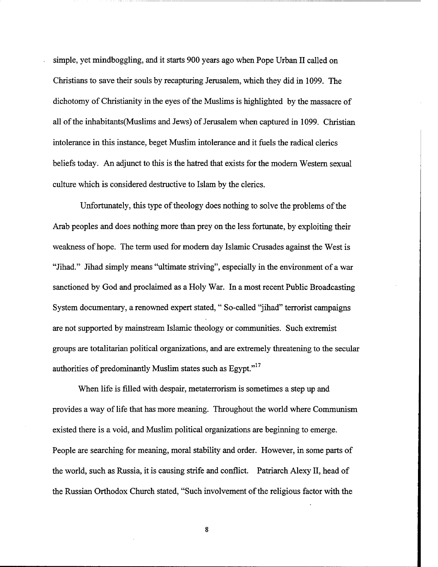simple, yet mindboggling, and it starts 900 years ago when Pope Urban I1 called on Christians to save their souls by recapturing Jerusalem, which they did in 1099. The dichotomy of Christianity in the eyes of the Muslims is highlighted by the massacre of all of the inhabitants (Muslims and Jews) of Jerusalem when captured in 1099. Christian intolerance in this instance, beget Muslim intolerance and it fuels the radical clerics beliefs today. An adjunct to this is the hatred that exists for the modem Western sexual culture which is considered destructive to Islam by the clerics.

Unfortunately, this type of theology does nothing to solve the problems of the Arab peoples and does nothing more than prey on the less fortunate, by exploiting their weakness of hope. The term used for modem day Islamic Crusades against the West is "Jihad." Jihad simply means "ultimate striving", especially in the environment of a war sanctioned by God and proclaimed as a Holy War. In a most recent Public Broadcasting System documentary, a renowned expert stated, " So-called "jihad" terrorist campaigns are not supported by mainstream Islamic theology or communities. Such extremist groups are totalitarian political organizations, and are extremely threatening to the secular authorities of predominantly Muslim states such as  $Egypt.$ <sup>"17</sup>

When life is filled with despair, metaterrorism is sometimes a step up and provides a way of life that has more meaning. Throughout the world where Communism existed there is a void, and Muslim political organizations are beginning to emerge. People are searching for meaning, moral stability and order. However, in some parts of the world, such as Russia, it is causing strife and conflict. Patriarch Alexy 11, head of the Russian Orthodox Church stated, "Such involvement of the religious factor with the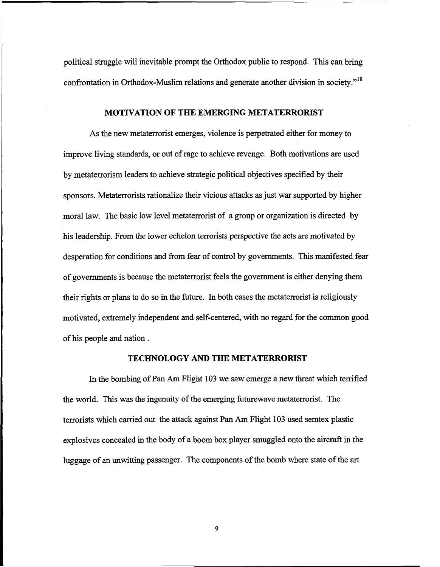political struggle will inevitable prompt the Orthodox public to respond. This can bring confrontation in Orthodox-Muslim relations and generate another division in society."<sup>18</sup>

#### **MOTIVATION OF THE EMERGING METATERRORIST**

As the new metaterrorist emerges, violence is perpetrated either for money to improve living standards, or out of rage to achieve revenge. Both motivations are used by metatenorism leaders to achieve strategic political objectives specified by their sponsors. Metaterrorists rationalize their vicious attacks as just war supported by higher moral law. The basic low level metaterrorist of a group or organization is directed by his leadership. From the lower echelon terrorists perspective the acts are motivated by desperation for conditions and from fear of control by governments. This manifested fear of governments is because the metatenorist feels the government is either denying them their rights or plans to do so in the future. In both cases the metaterrorist is religiously motivated, extremely independent and self-centered, with no regard for the common good of his people and nation .

#### **TECHNOLOGY AND THE METATERRORIST**

In the bombing of Pan Am Flight 103 we saw emerge a new threat which terrified the world. This was the ingenuity of the emerging futurewave metaterrorist. The terrorists which carried out the attack against Pan **Am** Flight 103 used semtex plastic explosives concealed in the body of a boom box player smuggled onto the aircraft in the luggage of an unwitting passenger. The components of the bomb where state of the **art**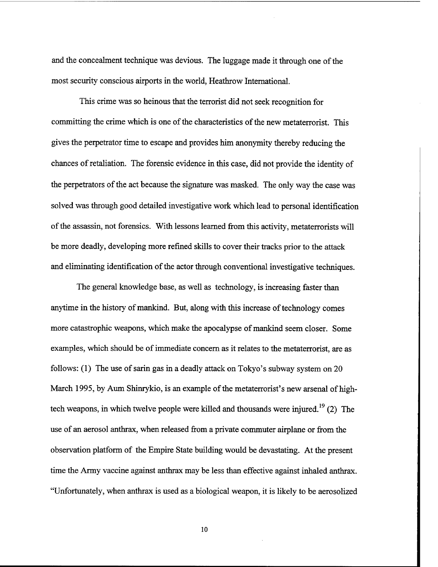and the concealment technique was devious. The luggage made it through one of the most security conscious airports in the world, Heathrow International.

This crime was so heinous that the terrorist did not seek recognition for committing the crime which is one of the characteristics of the new metaterrorist. This gives the perpetrator time to escape and provides him anonymity thereby reducing the chances of retaliation. The forensic evidence in this case, did not provide the identity of the perpetrators of the act because the signature was masked. The only way the case was solved was through good detailed investigative work which lead to personal identification of the assassin, not forensics. With lessons learned fiom this activity, metaterrorists will be more deadly, developing more refined skills to cover their tracks prior to the attack and eliminating identification of the actor through conventional investigative techniques.

The general knowledge base, as well as technology, is increasing faster than anytime in the history of mankind. But, along with this increase of technology comes more catastrophic weapons, which make the apocalypse of mankind seem closer. Some examples, which should be of immediate concern as it relates to the metaterrorist, are as follows: (1) The use of sarin gas in a deadly attack on Tokyo's subway system on 20 March 1995, by **Aum** Shinrykio, is an example of the metaterrorist's new arsenal of hightech weapons, in which twelve people were killed and thousands were injured.<sup>19</sup> (2) The use of an aerosol anthrax, when released fiom a private commuter airplane or from the observation platform of the Empire State building would be devastating. At the present time the Army vaccine against anthrax may be less than effective against inhaled anthrax. "Unfortunately, when anthrax is used as a biological weapon, it is likely to be aerosolized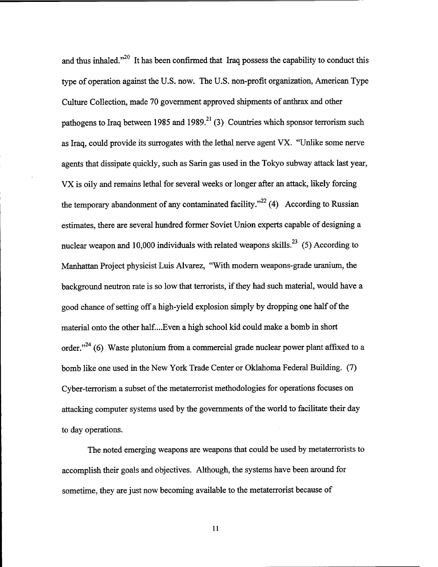and thus inhaled. $^{20}$  It has been confirmed that Iraq possess the capability to conduct this type of operation against the U.S. now. The U.S. non-profit organization, American Type Culture Collection, made 70 government approved shipments of anthrax and other pathogens to Iraq between 1985 and 1989.<sup>21</sup> (3) Countries which sponsor terrorism such as Iraq, could provide its surrogates with the lethal nerve agent VX. "Unlike some nerve agents that dissipate quickly, such as Sarin gas used in the Tokyo subway attack last year, VX is oily and remains lethal for several weeks or longer after an attack, likely forcing the temporary abandonment of any contaminated facility."<sup> $22$ </sup> (4) According to Russian estimates, there are several hundred former Soviet Union experts capable of designing a nuclear weapon and 10,000 individuals with related weapons skills.<sup>23</sup> (5) According to Manhattan Project physicist Luis Alvarez, "With modem weapons-grade uranium, the background neutron rate is so low that terrorists, if they had such material, would have a good chance of setting off a high-yield explosion simply by dropping one half of the material onto the other half. ... Even a high school kid could make a bomb in short order."<sup>24</sup> (6) Waste plutonium from a commercial grade nuclear power plant affixed to a bomb like one used in the New York Trade Center or Oklahoma Federal Building. (7) Cyber-terrorism a subset of the metaterrorist methodologies for operations focuses on attacking computer systems used by the governments of the world to facilitate their day to day operations.

The noted emerging weapons are weapons that could be used by metaterrorists to accomplish their goals and objectives. Although, the systems have been around for sometime, they are just now becoming available to the metaterrorist because of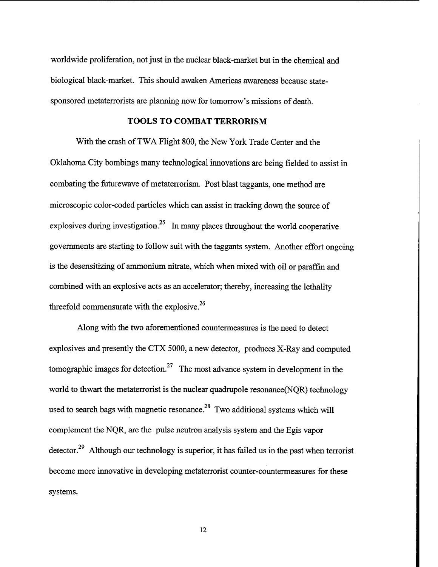worldwide proliferation, not just in the nuclear black-market but in the chemical and biological black-market. This should awaken Americas awareness because statesponsored metaterrorists are planning now for tomorrow's missions of death.

#### **TOOLS TO COMBAT TERRORISM**

With the crash of TWA Flight 800, the New York Trade Center and the Oklahoma City bombings many technological innovations are being fielded to assist in combating the futurewave of metaterrorism. Post blast taggants, one method are microscopic color-coded particles which can assist in tracking down the source of explosives during investigation.<sup>25</sup> In many places throughout the world cooperative governments are starting to follow suit with the taggants system. Another effort ongoing is the desensitizing of ammonium nitrate, which when mixed with oil or paraffin and combined with an explosive acts as an accelerator; thereby, increasing the lethality threefold commensurate with the explosive.<sup>26</sup>

Along with the two aforementioned countermeasures is the need to detect explosives and presently the CTX 5000, a new detector, produces X-Ray and computed tomographic images for detection.<sup>27</sup> The most advance system in development in the world to thwart the metaterrorist is the nuclear quadrupole resonance(NQR) technology used to search bags with magnetic resonance.<sup>28</sup> Two additional systems which will complement the NQR, are the pulse neutron analysis system and the Egis vapor detector.<sup>29</sup> Although our technology is superior, it has failed us in the past when terrorist become more innovative in developing metaterrorist counter-countermeasures for these systems.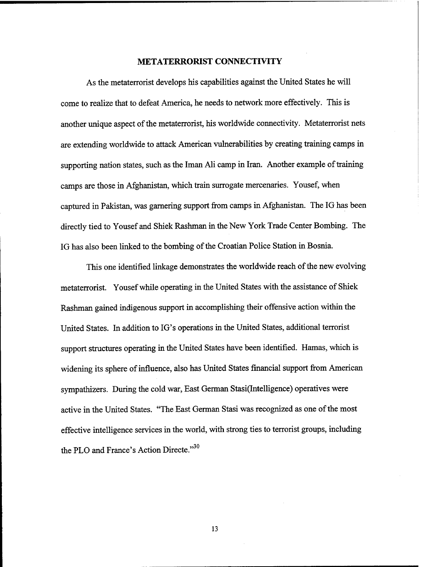#### **METATERRORIST CONNECTIVITY**

As the metaterrorist develops his capabilities against the United States he will come to realize that to defeat America, he needs to network more effectively. This is another unique aspect of the metaterrorist, his worldwide connectivity. Metaterrorist nets are extending worldwide to attack American vulnerabilities by creating training camps in supporting nation states, such as the Iman Ali camp in Iran. Another example of training camps are those in Afghanistan, which train surrogate mercenaries. Yousef, when captured in Pakistan, was garnering support from camps in Afghanistan. The IG has been directly tied to Yousef and Shiek Rashman in the New York Trade Center Bombing. The IG has also been linked to the bombing of the Croatian Police Station in Bosnia.

This one identified linkage demonstrates the worldwide reach of the new evolving metaterrorist. Yousef while operating in the United States with the assistance of Shiek Rashman gained indigenous support in accomplishing their offensive action within the United States. In addition to IG's operations in the United States, additional terrorist support structures operating in the United States have been identified. Hamas, which is widening its sphere of influence, also has United States financial support from American sympathizers. During the cold war, East German Stasi(Intelligence) operatives were active in the United States. "The East German Stasi was recognized as one of the most effective intelligence services in the world, with strong ties to terrorist groups, including the PLO and France's Action Directe." $^{30}$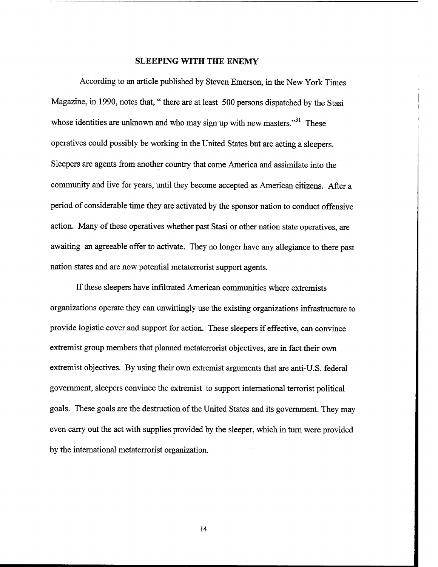#### **SLEEPING WITH THE ENEMY**

According to an article published by Steven Emerson, in the New York Times Magazine, in 1990, notes that, " there are at least 500 persons dispatched by the Stasi whose identities are unknown and who may sign up with new masters.<sup>331</sup> These operatives could possibly be working in the United States but are acting a sleepers. Sleepers are agents fiom another country that come America and assimilate into the community and live for years, until they become accepted as American citizens. After a period of considerable time they are activated by the sponsor nation to conduct offensive action. Many of these operatives whether past Stasi or other nation state operatives, are awaiting an agreeable offer to activate. They no longer have any allegiance to there past nation states and are now potential metaterrorist support agents.

If these sleepers have infiltrated American communities where extremists organizations operate they can unwittingly use the existing organizations infrastructure to provide logistic cover and support for action. These sleepers if effective, can convince extremist group members that planned metaterrorist objectives, are in fact their own extremist objectives. By using their own extremist arguments that are anti-U.S. federal government, sleepers convince the extremist to support international terrorist political goals. These goals are the destruction of the United States and its government. They may even carry out the act with supplies provided by the sleeper, which in turn were provided by the international metaterrorist organization.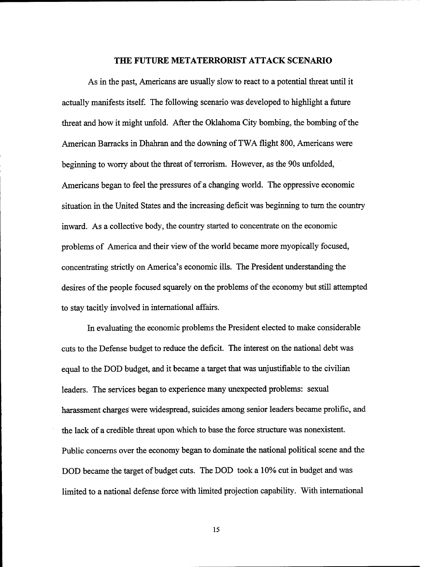#### **THE FUTURE METATERRORIST ATTACK SCENARIO**

As in the past, Americans are usually slow to react to a potential threat until it actually manifests itself. The following scenario was developed to highlight a future threat and how it might unfold. After the Oklahoma City bombing, the bombing of the American Barracks in Dhahran and the downing of TWA flight 800, Americans were beginning to worry about the threat of terrorism. However, as the 90s unfolded, Americans began to feel the pressures of a changing world. The oppressive economic situation in the United States and the increasing deficit was beginning to turn the country inward. As a collective body, the country started to concentrate on the economic problems of America and their view of the world became more myopically focused, concentrating strictly on America's economic ills. The President understanding the desires of the people focused squarely on the problems of the economy but still attempted to stay tacitly involved in international affairs.

In evaluating the economic problems the President elected to make considerable cuts to the Defense budget to reduce the deficit. The interest on the national debt was equal to the DOD budget, and it became a target that was unjustifiable to the civilian leaders. The services began to experience many unexpected problems: sexual harassment charges were widespread, suicides among senior leaders became prolific, and the lack of a credible threat upon which to base the force structure was nonexistent. Public concerns over the economy began to dominate the national political scene and the DOD became the target of budget cuts. The DOD took a 10% cut in budget and was limited to a national defense force with limited projection capability. With international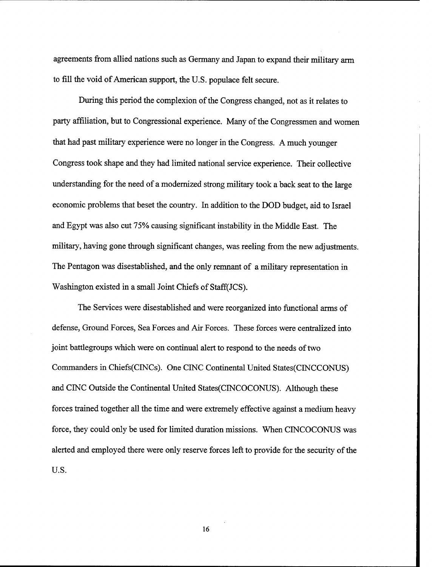agreements from allied nations such as Germany and Japan to expand their military arm to fill the void of American support, the U.S. populace felt secure.

During this period the complexion of the Congress changed, not as it relates to party affiliation, but to Congressional experience. Many of the Congressmen and women that had past military experience were no longer in the Congress. A much younger Congress took shape and they had limited national service experience. Their collective understanding for the need of a modernized strong military took a back seat to the large economic problems that beset the country. In addition to the DOD budget, aid to Israel and Egypt was also cut 75% causing significant instability in the Middle East. The military, having gone through significant changes, was reeling from the new adjustments. The Pentagon was disestablished, and the only remnant of a military representation in Washington existed in a small Joint Chiefs of Staff(JCS).

The Services were disestablished and were reorganized into functional arms of defense, Ground Forces, Sea Forces and Air Forces. These forces were centralized into joint battlegroups which were on continual alert to respond to the needs of two Commanders in Chiefs(CINCs). One CINC Continental United States(C1NCCONUS) and CINC Outside the Continental United States(CINC0CONUS). Although these forces trained together all the time and were extremely effective against a medium heavy force, they could only be used for limited duration missions. When CINCOCONUS was alerted and employed there were only reserve forces left to provide for the security of the U.S.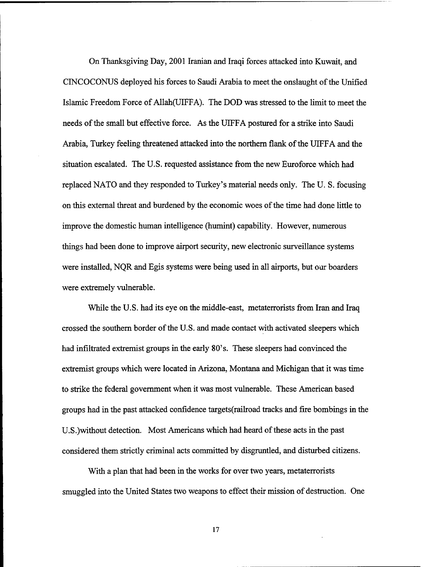On Thanksgiving Day, 2001 Iranian and Iraqi forces attacked into Kuwait, and CINCOCONUS deployed his forces to Saudi Arabia to meet the onslaught of the Unified Islamic Freedom Force of Allah(U1FFA). The DOD was stressed to the limit to meet the needs of the small but effective force. As the UIFFA postured for a strike into Saudi Arabia, Turkey feeling threatened attacked into the northern flank of the UIFFA and the situation escalated. The U.S. requested assistance from the new Euroforce which had replaced NATO and they responded to Turkey's material needs only. The U. S. focusing on this external threat and burdened by the economic woes of the time had done little to improve the domestic human intelligence (humint) capability. However, numerous things had been done to improve airport security, new electronic surveillance systems were installed, NQR and Egis systems were being used in all airports, but our boarders were extremely vulnerable.

While the U.S. had its eye on the middle-east, metaterrorists from Iran and Iraq crossed the southern border of the U.S. and made contact with activated sleepers which had infiltrated extremist groups in the early 80's. These sleepers had convinced the extremist groups which were located in Arizona, Montana and Michigan that it was time to strike the federal government when it was most vulnerable. These American based groups had in the past attacked confidence targets(rai1road tracks and fire bombings in the U.S.)without detection. Most Americans which had heard of these acts in the past considered them strictly criminal acts committed by disgruntled, and disturbed citizens.

With a plan that had been in the works for over two years, metaterrorists smuggled into the United States two weapons to effect their mission of destruction. One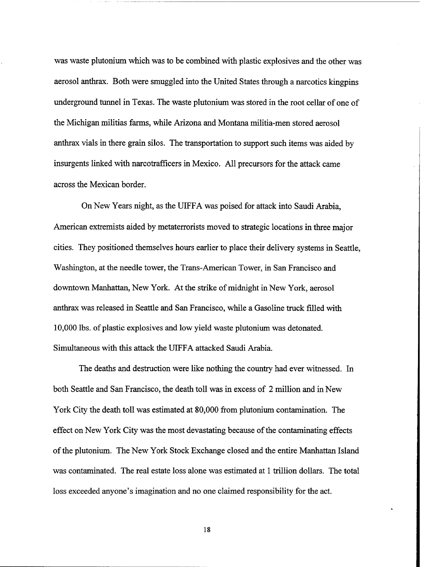was waste plutonium which was to be combined with plastic explosives and the other was aerosol anthrax. Both were smuggled into the United States through a narcotics kingpins underground tunnel in Texas. The waste plutonium was stored in the root cellar of one of the Michigan militias farms, while Arizona and Montana militia-men stored aerosol anthrax vials in there grain silos. The transportation to support such items was aided by insurgents linked with narcotrafficers in Mexico. All precursors for the attack came across the Mexican border.

On New Years night, as the UIFFA was poised for attack into Saudi Arabia, American extremists aided by metaterrorists moved to strategic locations in three major cities. They positioned themselves hours earlier to place their delivery systems in Seattle, Washington, at the needle tower, the Trans-American Tower, in San Francisco and downtown Manhattan, New York. At the strike of midnight in New York, aerosol anthrax was released in Seattle and San Francisco, while a Gasoline truck filled with 10,000 lbs. of plastic explosives and low yield waste plutonium was detonated. Simultaneous with this attack the UIFFA attacked Saudi Arabia.

The deaths and destruction were like nothing the country had ever witnessed. In both Seattle and San Francisco, the death toll was in excess of 2 million and in New York City the death toll was estimated at 80,000 from plutonium contamination. The effect on New York City was the most devastating because of the contaminating effects of the plutonium. The New York Stock Exchange closed and the entire Manhattan Island was contaminated. The real estate loss alone was estimated at 1 trillion dollars. The total loss exceeded anyone's imagination and no one claimed responsibility for the act.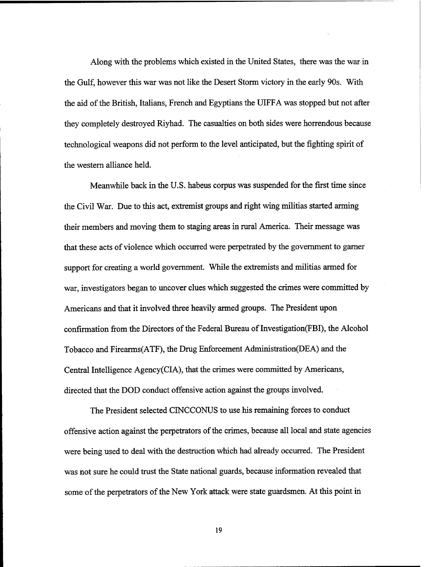Along with the problems which existed in the United States, there was the war in the Gulf, however this war was not like the Desert Storm victory in the early 90s. With the aid of the British, Italians, French and Egyptians the UIFFA was stopped but not after they completely destroyed Riyhad. The casualties on both sides were horrendous because technological weapons did not perform to the level anticipated, but the fighting spirit of the western alliance held.

Meanwhile back in the U.S. habeus corpus was suspended for the first time since the Civil War. Due to this act, extremist groups and right wing militias started arming their members and moving them to staging areas in rural America. Their message was that these acts of violence which occurred were perpetrated by the government to gamer support for creating a world government. While the extremists and militias armed for war, investigators began to uncover clues which suggested the crimes were committed by Americans and that it involved three heavily armed groups. The President upon confirmation from the Directors of the Federal Bureau of Investigation(FBI), the Alcohol Tobacco and Firearms(ATF), the Drug Enforcement Administration(DEA) and the Central Intelligence Agency(CIA), that the crimes were committed by Americans, directed that the DOD conduct offensive action against the groups involved.

The President selected CINCCONUS to use his remaining forces to conduct offensive action against the perpetrators of the crimes, because all local and state agencies were being used to deal with the destruction which had already occurred. The President was not sure he could trust the State national guards, because information revealed that some of the perpetrators of the New York attack were state guardsmen. At this point in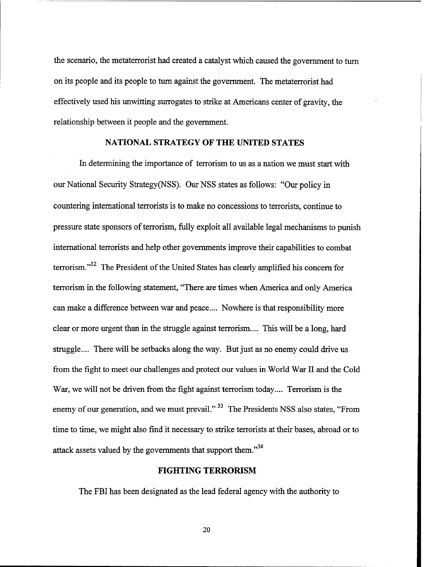the scenario, the metaterrorist had created a catalyst which caused the government to turn on its people and its people to turn against the government. The metaterrorist had effectively used his unwitting surrogates to strike at Americans center of gravity, the relationship between it people and the government.

#### **NATIONAL STRATEGY OF THE UNITED STATES**

In determining the importance of terrorism to us as a nation we must start with our National Security Strategy(NSS). Our NSS states as follows: "Our policy in countering international terrorists is to make no concessions to terrorists, continue to pressure state sponsors of terrorism, fully exploit all available legal mechanisms to punish international terrorists and help other governments improve their capabilities to combat terrorism."<sup>32</sup> The President of the United States has clearly amplified his concern for terrorism in the following statement, "There are times when America and only America can make a difference between war and peace.... Nowhere is that responsibility more clear or more urgent than in the struggle against terrorism.... This will be a long, hard struggle.... There will be setbacks along the way. But just as no enemy could drive us fiom the fight to meet our challenges and protect our values in World War I1 and the Cold War, we will not be driven from the fight against terrorism today.... Terrorism is the enemy of our generation, and we must prevail."<sup>33</sup> The Presidents NSS also states, "From time to time, we might also find it necessary to strike terrorists at their bases, abroad or to attack assets valued by the governments that support them."<sup>34</sup>

#### **FIGHTING TERRORISM**

The **FBI** has been designated as the lead federal agency with the authority to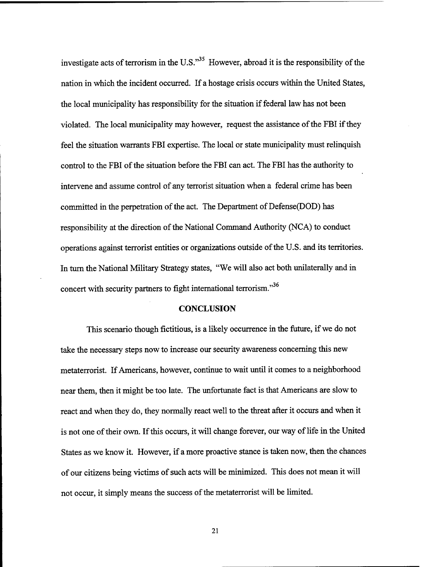investigate acts of terrorism in the U.S."<sup>35</sup> However, abroad it is the responsibility of the nation in which the incident occurred. If a hostage crisis occurs within the United States, the local municipality has responsibility for the situation if federal law has not been violated. The local municipality may however, request the assistance of the FBI if they feel the situation warrants FBI expertise. The local or state municipality must relinquish control to the FBI of the situation before the FBI can act. The FBI has the authority to intervene and assume control of any terrorist situation when a federal crime has been committed in the perpetration of the act. The Department of Defense(D0D) has responsibility at the direction of the National Command Authority (NCA) to conduct operations against terrorist entities or organizations outside of the U.S. and its territories. In turn the National Military Strategy states, "We will also act both unilaterally and in concert with security partners to fight international terrorism." $36$ 

#### **CONCLUSION**

This scenario though fictitious, is a likely occurrence in the future, if we do not take the necessary steps now to increase our security awareness concerning this new metaterrorist. If Americans, however, continue to wait until it comes to a neighborhood near them, then it might be too late. The unfortunate fact is that Americans are slow to react and when they do, they normally react well to the threat after it occurs and when it is not one of their own. If this occurs, it will change forever, our way of life in the United States as we know **it.** However, if a more proactive stance is taken now, then the chances of our citizens being victims of such acts will be minimized. This does not mean it will not occur, it simply means the success of the metaterrorist will be limited.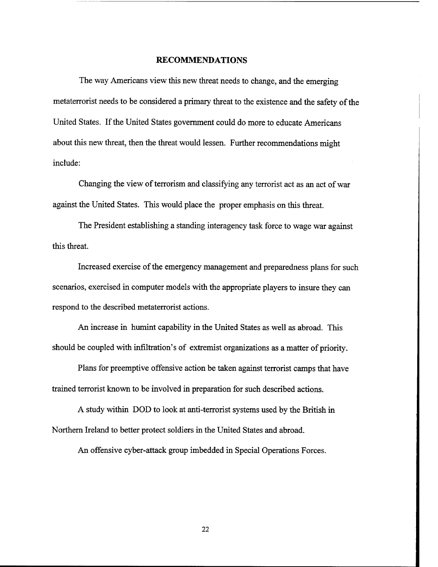#### **RECOMMENDATIONS**

The way Americans view this new threat needs to change, and the emerging metaterrorist needs to be considered a primary threat to the existence and the safety of the United States. If the United States government could do more to educate Americans about this new threat, then the threat would lessen. Further recommendations might include:

Changing the view of terrorism and classifying any terrorist act **as** an act of war against the United States. This would place the proper emphasis on this threat.

The President establishing a standing interagency task force to wage war against this threat.

Increased exercise of the emergency management and preparedness plans for such scenarios, exercised in computer models with the appropriate players to insure they can respond to the described metaterrorist actions.

**An** increase in hurnint capability in the United States as well **as** abroad. This should be coupled with infiltration's of extremist organizations as a matter of priority.

Plans for preemptive offensive action be taken against terrorist camps that have trained terrorist known to be involved in preparation for such described actions.

A study within DOD to look at anti-terrorist systems used by the British in Northern Ireland to better protect soldiers in the United States and abroad.

**An** offensive cyber-attack group imbedded in Special Operations Forces.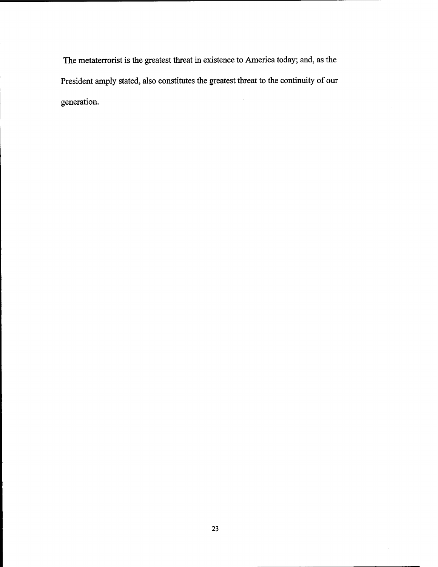The metaterrorist is the greatest threat in existence to America today; **and,** as the President amply stated, also constitutes the greatest threat to the continuity of our generation.

 $\bar{z}$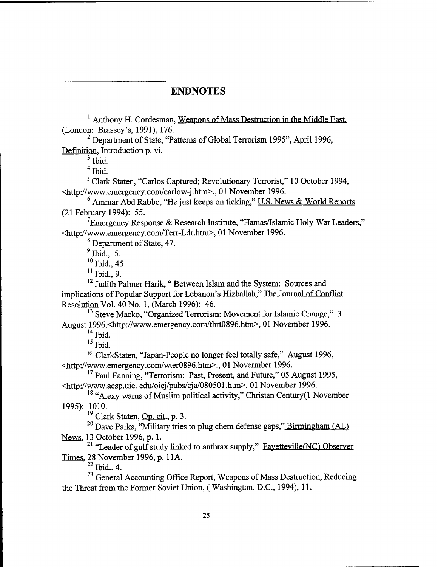## **ENDNOTES**

<sup>1</sup> Anthony H. Cordesman, Weapons of Mass Destruction in the Middle East. (London: Brassey's, 1991), 176.

<sup>2</sup> Department of State, "Patterns of Global Terrorism 1995", April 1996, Definition, Introduction p. vi.

 $3$  Ibid.

**<sup>4</sup>**Ibid.

Clark Staten, "Carlos Captured; Revolutionary Terrorist," 10 October 1994, <http://www.emergency.com/carlow-j.htm>., 01 November 1996.

 $6$  Ammar Abd Rabbo, "He just keeps on ticking," U.S. News & World Reports (21 February 1994): 55.

 $^{7}$ Emergency Response & Research Institute, "Hamas/Islamic Holy War Leaders," **<http:l/www.emergency.com/Terr-Ldr.htm>,** 01 November 1996.

Department of State, 47.

 $<sup>9</sup>$  Ibid., 5.</sup>

**<sup>10</sup>**Ibid., 45.

**<sup>11</sup>**Ibid., 9.

<sup>12</sup> Judith Palmer Harik, "Between Islam and the System: Sources and implications of Popular Support for Lebanon's Hizballah," The Journal of Conflict Resolution Vol. 40 No. 1, (March 1996): 46.

<sup>13</sup> Steve Macko, "Organized Terrorism; Movement for Islamic Change," 3 August 1996,<http://www.emergency.com/thrt0896.htm>, 01 November 1996.

**<sup>14</sup>**Ibid.

**lS** Ibid.

<sup>16</sup> ClarkStaten, "Japan-People no longer feel totally safe," August 1996, <http://www.emergency.com/wter0896.htm>., 01 Novermber 1996.

<sup>17</sup> Paul Fanning, "Terrorism: Past, Present, and Future," 05 August 1995, <http://www.acsp.uic. edu/oicj/pubs/cja/080501.htm>, 01 November 1996.

<sup>18</sup> "Alexy warns of Muslim political activity," Christan Century(1 November 1995): 1010.

**l9** Clark Staten, Op. cit., p. **3.** 

<sup>20</sup> Dave Parks, "Military tries to plug chem defense gaps," Birmingham (AL) News, 13 October 1996, p. 1.

<sup>21</sup> "Leader of gulf study linked to anthrax supply," Fayetteville(NC) Observer Times, 28 November 1996, p. 11A.

**22** Ibid., 4.

<sup>23</sup> General Accounting Office Report, Weapons of Mass Destruction, Reducing the Threat from the Former Soviet Union, (Washington, D.C., 1994), 11.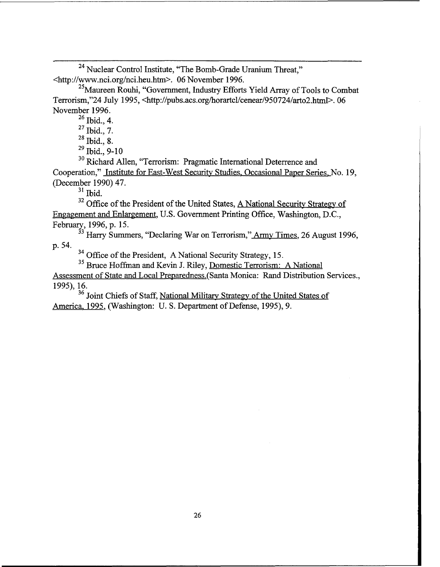<sup>24</sup> Nuclear Control Institute, "The Bomb-Grade Uranium Threat." **~http://www.nci.org/nci.heu.htm>.** 06 November 1 996.

 $^{25}$ Maureen Rouhi, "Government, Industry Efforts Yield Array of Tools to Combat Terrorism,"24 July 1995, <http://pubs.acs.org/horartcl/cenear/950724/arto2.html>.06 November 1996.

 $^{26}$  Ibid., 4.

 $^{27}$  Ibid., 7.

**<sup>28</sup>**Ibid., 8.

 $^{29}$  Ibid., 9-10

**<sup>30</sup>**Richard Allen, "Terrorism: Pragmatic International Deterrence and Cooperation," Institute for East-West Security Studies, Occasional Paper Series. No. 19, (December 1990) 47.

 $31$  Ibid.

<sup>32</sup> Office of the President of the United States, <u>A National Security Strategy of</u> Engagement and Enlargement, U.S. Government Printing Office, Washington, D.C., February, 1996, p. 15.

**<sup>33</sup>**Hany Summers, "Declaring War on Terrorism," **Army** Times, 26 August 1996, p. 54.

<sup>34</sup> Office of the President, A National Security Strategy, 15.<br><sup>35</sup> Bruce Hoffman and Kevin J. Riley, Domestic Terrorism: A National

Assessment of State and Local Preparedness.(Santa Monica: Rand Distribution Services., 1995), 16.

<sup>36</sup> Joint Chiefs of Staff, National Military Strategy of the United States of America. 1995, (Washington: U. S. Department of Defense, 1995), 9.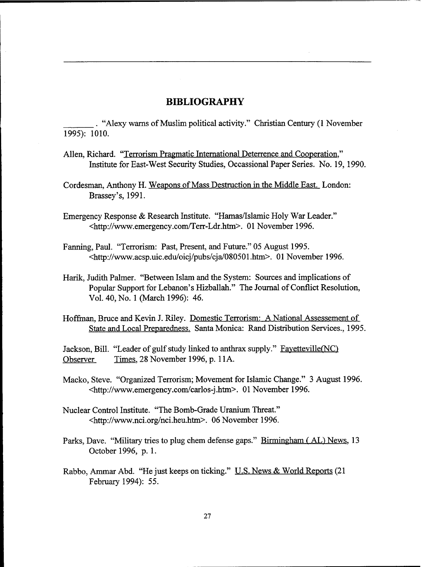## **BIBLIOGRAPHY**

. "Alexy warns of Muslim political activity." Christian Century (1 November 1995): 1010.

- Allen, Richard. "Terrorism Pragmatic International Deterrence and Cooperation," Institute for East-West Security Studies, Occassional Paper Series. No. 19, 1990.
- Cordesman, Anthony H. Weapons of Mass Destruction in the Middle **East.** London: Brassey's, 1991.
- Emergency Response & Research Institute. "Hamas/Islamic Holy War Leader." **<http://www.emergency.com/Terr-Ldr.htm>.** 0 1 November 1996.
- Fanning, Paul. "Terrorism: Past, Present, and Future." 05 August 1995. **<http://www.acsp.uic.edu~oicj/pubs/cja~080501** .htrn>. 01 November 1996.
- **Harik,** Judith Palmer. "Between Islam and the System: Sources and implications of Popular Support for Lebanon's Hizballah." The Journal of Conflict Resolution, Vol. 40, No. 1 (March 1996): 46.
- Hoffman, Bruce and Kevin J. Riley. Domestic Terrorism: **A** National Assessement of State and Local Preparedness. Santa Monica: Rand Distribution Services., 1995.

Jackson, Bill. "Leader of gulf study linked to anthrax supply." Favetteville(NC) Observer Times, 28 November 1996, p. 11A.

- Macko, Steve. "Organized Terrorism; Movement for Islamic Change." 3 August 1996. <http://www.emergency.comlcarlos-j .htm>. 01 November 1996.
- Nuclear Control Institute. "The Bomb-Grade Uranium Threat." <http://www.nci.org/nci.heu.htm>. 06 November 1996.
- Parks, Dave. "Military tries to plug chem defense gaps." Birmingham (AL) News, 13 October 1996, p. 1.
- Rabbo, **Arnrnar** Abd. "He just keeps on ticking." U.S. News & World Reports (21 February 1994): 55.